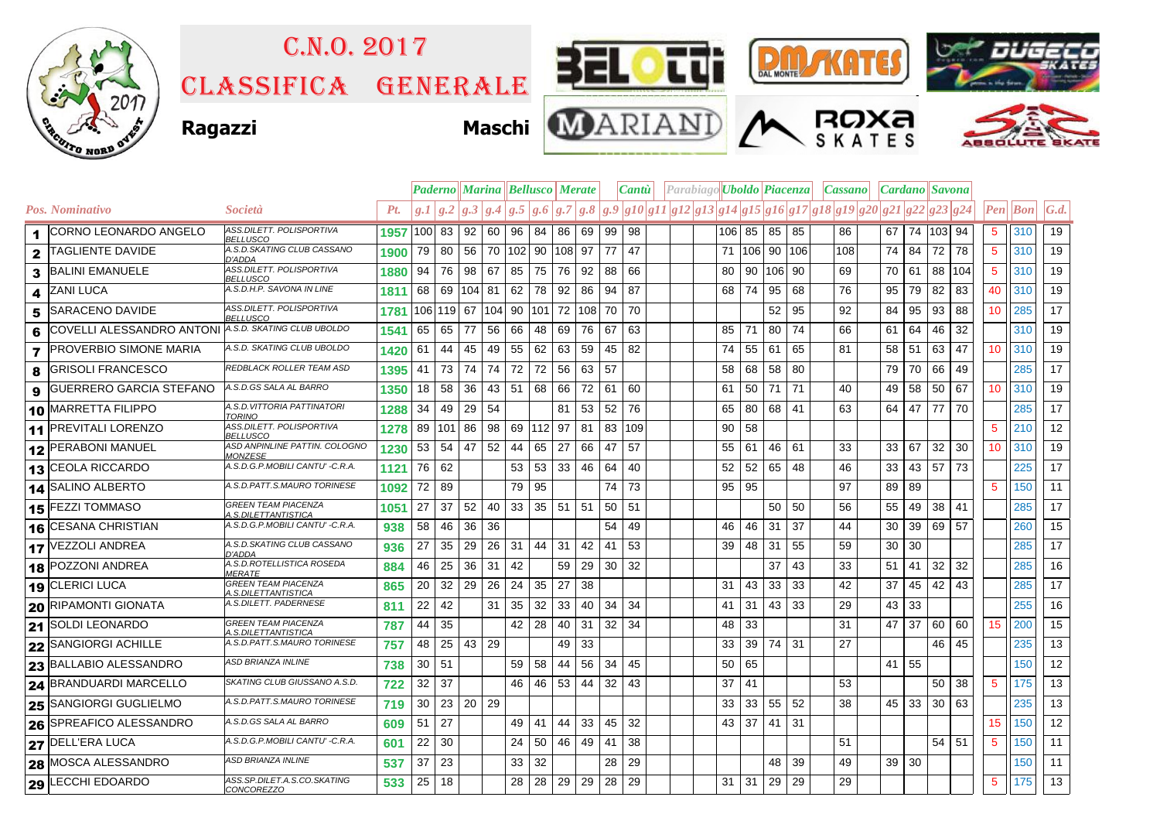

## C.n.o. 2017

Classifica generale













|                         |                                |                                                   |      | <b>Paderno Marina Bellusco Merate</b> |    |            |                  |         |           |                              |        |    | Cantu <sup>l</sup>                                                                                | Parabiago Uboldo Piacenza |    |    |           |     | Cassano |                 | Cardano    Savona |    |     |                 |          |                   |
|-------------------------|--------------------------------|---------------------------------------------------|------|---------------------------------------|----|------------|------------------|---------|-----------|------------------------------|--------|----|---------------------------------------------------------------------------------------------------|---------------------------|----|----|-----------|-----|---------|-----------------|-------------------|----|-----|-----------------|----------|-------------------|
|                         | Pos. Nominativo                | Società                                           | Pt.  |                                       |    |            |                  |         |           |                              |        |    | $g.1 g.2 g.3 g.4 g.5 g.6 g.7 g.8 g.9 g10 g11 g12 g13 g14 g15 g16 g17 g18 g19 g20 g21 g22 g23 g24$ |                           |    |    |           |     |         |                 |                   |    |     |                 | Pen  Bon | $\mathcal{G}.d$ . |
|                         | 1 CORNO LEONARDO ANGELO        | ASS.DILETT. POLISPORTIVA<br><b>BELLUSCO</b>       | 1957 | 100 83                                |    | $92$ 60    |                  | 96 84   |           | 86                           | 69     | 99 | 98                                                                                                |                           |    |    | 106 85 85 | 85  | 86      |                 | 67 74 103 94      |    |     | 5               | 310      | 19                |
| $\mathbf{2}$            | <b>TAGLIENTE DAVIDE</b>        | A.S.D.SKATING CLUB CASSANO<br>D'ADDA              | 1900 | 79                                    | 80 | 56         | 70 102 90 108 97 |         |           |                              |        | 77 | 47                                                                                                |                           | 71 |    | 106 90    | 106 | 108     | 74              | 84                | 72 | 78  | 5               | 310      | 19                |
| 3                       | <b>BALINI EMANUELE</b>         | ASS.DILETT. POLISPORTIVA<br><b>BELLUSCO</b>       | 1880 | 94                                    | 76 | 98 67      |                  | 85      | 75        | 76                           | 92     | 88 | 66                                                                                                |                           | 80 |    | 90 106    | 90  | 69      | 70              | 61                | 88 | 104 | 5               | 310      | 19                |
| 4                       | <b>ZANI LUCA</b>               | A.S.D.H.P. SAVONA IN LINE                         | 1811 | 68                                    | 69 | $ 104 $ 81 |                  | $62$ 78 |           | 92                           | 86     | 94 | 87                                                                                                |                           | 68 | 74 | 95        | 68  | 76      | 95              | 79                | 82 | 83  | 40              | 310      | 19                |
| 5                       | SARACENO DAVIDE                | ASS.DILETT. POLISPORTIVA<br><b>BELLUSCO</b>       | 1781 | 106 119 67 104 90 101                 |    |            |                  |         |           | 72                           | 108 70 |    | 70                                                                                                |                           |    |    | 52        | 95  | 92      | 84              | 95                | 93 | 88  | 10 <sup>°</sup> | 285      | 17                |
| 6                       | COVELLI ALESSANDRO ANTONI      | A.S.D. SKATING CLUB UBOLDO                        | 1541 | 65                                    | 65 | 77         | 56               | 66      | 48        | 69                           | 76     | 67 | 63                                                                                                |                           | 85 | 71 | 80        | 74  | 66      | 61              | 64                | 46 | 32  |                 | 310      | 19                |
| $\overline{\mathbf{z}}$ | <b>PROVERBIO SIMONE MARIA</b>  | A.S.D. SKATING CLUB UBOLDO                        | 1420 | 61                                    | 44 | 45         | 49               | 55      | 62        | 63                           | 59     | 45 | -82                                                                                               |                           | 74 |    | 55 61     | 65  | 81      | 58              | 51                | 63 | 47  | 10 <sup>°</sup> | 310      | 19                |
| 8                       | <b>GRISOLI FRANCESCO</b>       | REDBLACK ROLLER TEAM ASD                          | 1395 | 41                                    | 73 | 74         | 74               | 72      | 72        | 56                           | 63     | 57 |                                                                                                   |                           | 58 |    | 68 58     | 80  |         | 79              | 70                | 66 | 49  |                 | 285      | 17                |
| 9                       | <b>GUERRERO GARCIA STEFANO</b> | A.S.D.GS SALA AL BARRO                            | 1350 | 18                                    | 58 | 36         | 43               | 51   68 |           | 66                           | 72     | 61 | 60                                                                                                |                           | 61 | 50 | 71        | 71  | 40      | 49              | 58                | 50 | 67  | 10              | 310      | 19                |
|                         | 10 MARRETTA FILIPPO            | A.S.D. VITTORIA PATTINATORI<br>TORINO             | 1288 | 34                                    | 49 | 29         | 54               |         |           | 81                           | 53     | 52 | 76                                                                                                |                           | 65 |    | 80 68     | 41  | 63      | 64 I            | 47                | 77 | 70  |                 | 285      | 17                |
|                         | 11 PREVITALI LORENZO           | ASS.DILETT. POLISPORTIVA<br>BELLUSCO              | 1278 | 89 101 86                             |    |            | 98               |         | 69 112 97 |                              | 81     | 83 | 109                                                                                               |                           | 90 | 58 |           |     |         |                 |                   |    |     | 5               | 210      | 12                |
|                         | 12 PERABONI MANUEL             | ASD ANPINLINE PATTIN. COLOGNO<br>MONZESE          | 1230 | 53                                    | 54 | 47         | 52               | 44      | 65        | 27                           | 66     | 47 | 57                                                                                                |                           | 55 | 61 | 46        | 61  | 33      | 33              | 67                | 32 | 30  | 10              | 310      | 19                |
|                         | 13 CEOLA RICCARDO              | A.S.D.G.P.MOBILI CANTU' -C.R.A.                   | 1121 | 76 62                                 |    |            |                  | 53 53   |           | 33                           | 46     | 64 | 40                                                                                                |                           | 52 |    | 52 65     | 48  | 46      | 33 <sup>1</sup> | 43                | 57 | 73  |                 | 225      | 17                |
|                         | 14 SALINO ALBERTO              | A.S.D.PATT.S.MAURO TORINESE                       | 1092 | 72                                    | 89 |            |                  | 79      | 95        |                              |        | 74 | 73                                                                                                |                           | 95 | 95 |           |     | 97      | 89              | 89                |    |     | 5               | 150      | 11                |
|                         | <b>15 FEZZI TOMMASO</b>        | GREEN TEAM PIACENZA<br>A.S.DILETTANTISTICA        | 1051 | 27                                    | 37 | 52         | 40               |         |           | $33 \mid 35 \mid 51 \mid 51$ |        | 50 | 51                                                                                                |                           |    |    | 50        | 50  | 56      | 55              | 49                | 38 | 41  |                 | 285      | 17                |
|                         | 16 CESANA CHRISTIAN            | A.S.D.G.P.MOBILI CANTU' -C.R.A.                   | 938  | 58                                    | 46 | 36         | 36               |         |           |                              |        | 54 | 49                                                                                                |                           | 46 | 46 | -31       | 37  | 44      | 30              | 39                | 69 | 57  |                 | 260      | 15                |
|                         | 17 VEZZOLI ANDREA              | A.S.D.SKATING CLUB CASSANO<br>D'ADDA              | 936  | 27                                    | 35 | 29         | 26               | 31 44   |           | -31                          | 42     | 41 | -53                                                                                               |                           | 39 |    | 48 31     | 55  | 59      | 30 <sup>1</sup> | 30                |    |     |                 | 285      | 17                |
|                         | 18 POZZONI ANDREA              | A.S.D.ROTELLISTICA ROSEDA<br><i>MERATE</i>        | 884  | 46                                    | 25 | 36         | 31               | 42      |           | 59                           | 29     | 30 | 32                                                                                                |                           |    |    | 37        | 43  | 33      | 51              | 41                | 32 | 32  |                 | 285      | 16                |
|                         | 19 CLERICI LUCA                | <b>GREEN TEAM PIACENZA</b><br>4.S.DILETTANTISTICA | 865  | 20                                    | 32 | 29         | 26               | 24      | 35        | 27                           | 38     |    |                                                                                                   |                           | 31 | 43 | 33        | 33  | 42      | 37              | 45                | 42 | 43  |                 | 285      | 17                |
|                         | 20 RIPAMONTI GIONATA           | A.S.DILETT. PADERNESE                             | 811  | 22                                    | 42 |            | 31               | 35      | 32        | 33                           | 40     | 34 | 34                                                                                                |                           | 41 | 31 | 43        | 33  | 29      | 43              | 33                |    |     |                 | 255      | 16                |
|                         | 21 SOLDI LEONARDO              | GREEN TEAM PIACENZA<br>4.S.DILETTANTISTICA        | 787  | 44                                    | 35 |            |                  | 42      | 28        | 40                           | 31     | 32 | -34                                                                                               |                           | 48 | 33 |           |     | 31      | 47              | 37                | 60 | 60  | 15              | 200      | 15                |
|                         | 22 SANGIORGI ACHILLE           | A.S.D.PATT.S.MAURO TORINESE                       | 757  | 48                                    | 25 | $43$ 29    |                  |         |           | 49                           | 33     |    |                                                                                                   |                           | 33 |    | 39 74     | 31  | 27      |                 |                   | 46 | 45  |                 | 235      | 13                |
|                         | 23 BALLABIO ALESSANDRO         | ASD BRIANZA INLINE                                | 738  | 30 51                                 |    |            |                  | 59      | 58        | 44                           | 56     | 34 | 45                                                                                                |                           | 50 | 65 |           |     |         | 41              | 55                |    |     |                 | 150      | 12                |
|                         | 24 BRANDUARDI MARCELLO         | SKATING CLUB GIUSSANO A.S.D.                      | 722  | 32                                    | 37 |            |                  | 46      | 46        | 53                           | 44     | 32 | 43                                                                                                |                           | 37 | 41 |           |     | 53      |                 |                   | 50 | 38  | $5\phantom{.0}$ | 175      | $\overline{13}$   |
|                         | 25 SANGIORGI GUGLIELMO         | A.S.D.PATT.S.MAURO TORINESE                       | 719  | 30                                    |    | $23$ 20 29 |                  |         |           |                              |        |    |                                                                                                   |                           | 33 |    | 33 55     | 52  | 38      |                 | $45 \mid 33$      | 30 | 63  |                 | 235      | 13                |
|                         | 26 SPREAFICO ALESSANDRO        | A.S.D.GS SALA AL BARRO                            | 609  | 51                                    | 27 |            |                  | 49      | 41        | 44                           | 33     | 45 | 32                                                                                                |                           | 43 | 37 | 41        | 31  |         |                 |                   |    |     | 15              | 150      | 12                |
|                         | 27 DELL'ERA LUCA               | A.S.D.G.P.MOBILI CANTU' - C.R.A.                  | 601  | 22                                    | 30 |            |                  | 24      | 50        | 46                           | 49     | 41 | 38                                                                                                |                           |    |    |           |     | 51      |                 |                   | 54 | 51  | $5\phantom{.0}$ | 150      | 11                |
|                         | 28 MOSCA ALESSANDRO            | ASD BRIANZA INLINE                                | 537  | 37                                    | 23 |            |                  | 33      | 32        |                              |        | 28 | 29                                                                                                |                           |    |    | 48        | 39  | 49      | 39 30           |                   |    |     |                 | 150      | 11                |
|                         | 29 LECCHI EDOARDO              | ASS.SP.DILET.A.S.CO.SKATING<br><u>CONCOREZZO</u>  | 533  | 25 18                                 |    |            |                  | 28      | 28        | 29 29                        |        | 28 | 29                                                                                                |                           | 31 | 31 | 29        | 29  | 29      |                 |                   |    |     | 5               | 175      | 13                |